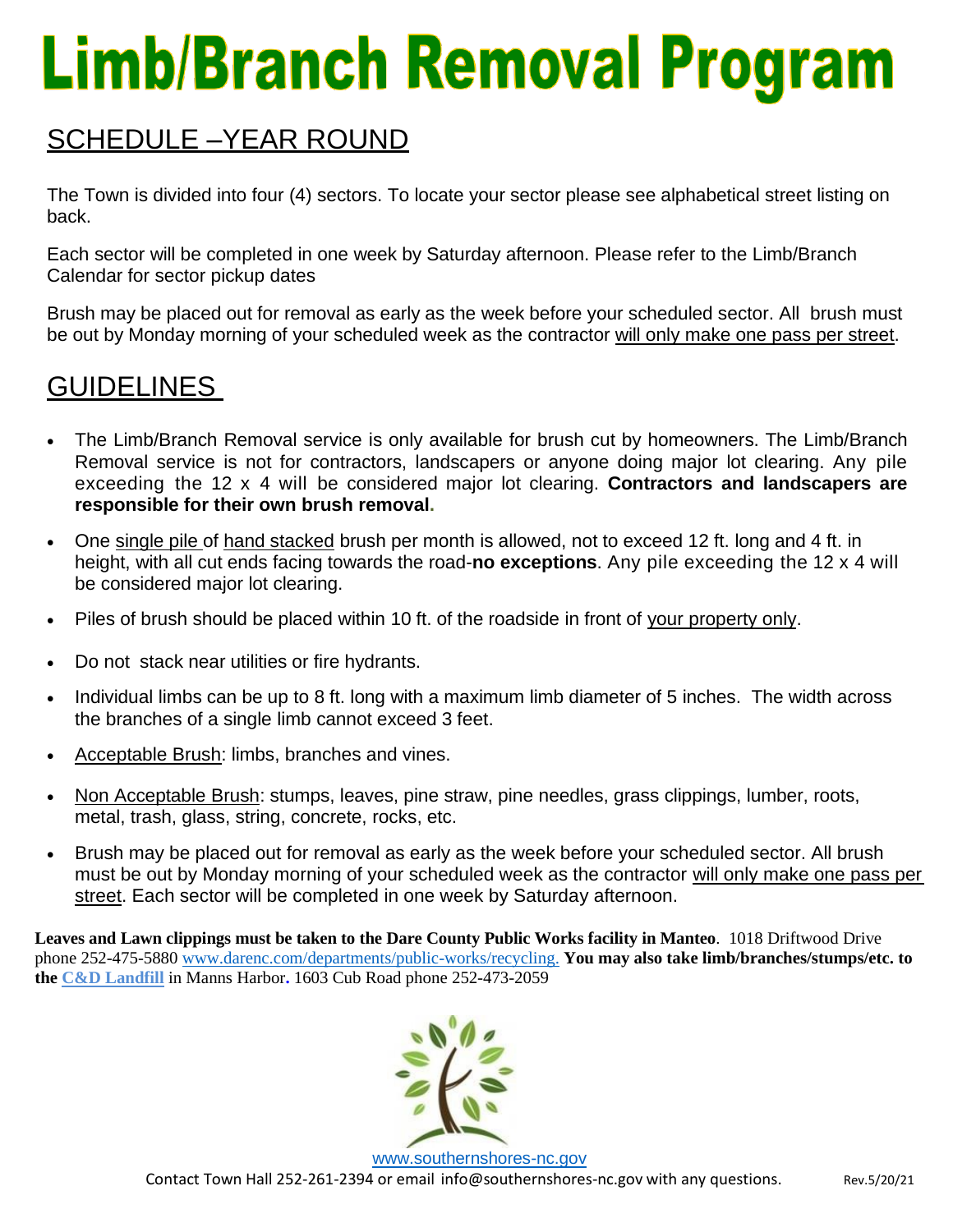## **Limb/Branch Removal Program**

## SCHEDULE –YEAR ROUND

The Town is divided into four (4) sectors. To locate your sector please see alphabetical street listing on back.

Each sector will be completed in one week by Saturday afternoon. Please refer to the Limb/Branch Calendar for sector pickup dates

Brush may be placed out for removal as early as the week before your scheduled sector. All brush must be out by Monday morning of your scheduled week as the contractor will only make one pass per street.

## **GUIDELINES**

- The Limb/Branch Removal service is only available for brush cut by homeowners. The Limb/Branch Removal service is not for contractors, landscapers or anyone doing major lot clearing. Any pile exceeding the 12 x 4 will be considered major lot clearing. **Contractors and landscapers are responsible for their own brush removal.**
- One single pile of hand stacked brush per month is allowed, not to exceed 12 ft. long and 4 ft. in height, with all cut ends facing towards the road-**no exceptions**. Any pile exceeding the 12 x 4 will be considered major lot clearing.
- Piles of brush should be placed within 10 ft. of the roadside in front of your property only.
- Do not stack near utilities or fire hydrants.
- Individual limbs can be up to 8 ft. long with a maximum limb diameter of 5 inches. The width across the branches of a single limb cannot exceed 3 feet.
- Acceptable Brush: limbs, branches and vines.
- Non Acceptable Brush: stumps, leaves, pine straw, pine needles, grass clippings, lumber, roots, metal, trash, glass, string, concrete, rocks, etc.
- Brush may be placed out for removal as early as the week before your scheduled sector. All brush must be out by Monday morning of your scheduled week as the contractor will only make one pass per street. Each sector will be completed in one week by Saturday afternoon.

**Leaves and Lawn clippings must be taken to the Dare County Public Works facility in Manteo**. 1018 Driftwood Drive phone 252-475-5880 [www.darenc.com/departments/public-works/recycling.](http://www.darenc.com/departments/public-works/recycling) **You may also take limb/branches/stumps/etc. to the C&D Landfill** [in Manns Harbor](https://www.darenc.com/departments/public-works/c-d-landfill-rubble-transfer-station)**.** 1603 Cub Road phone 252-473-2059